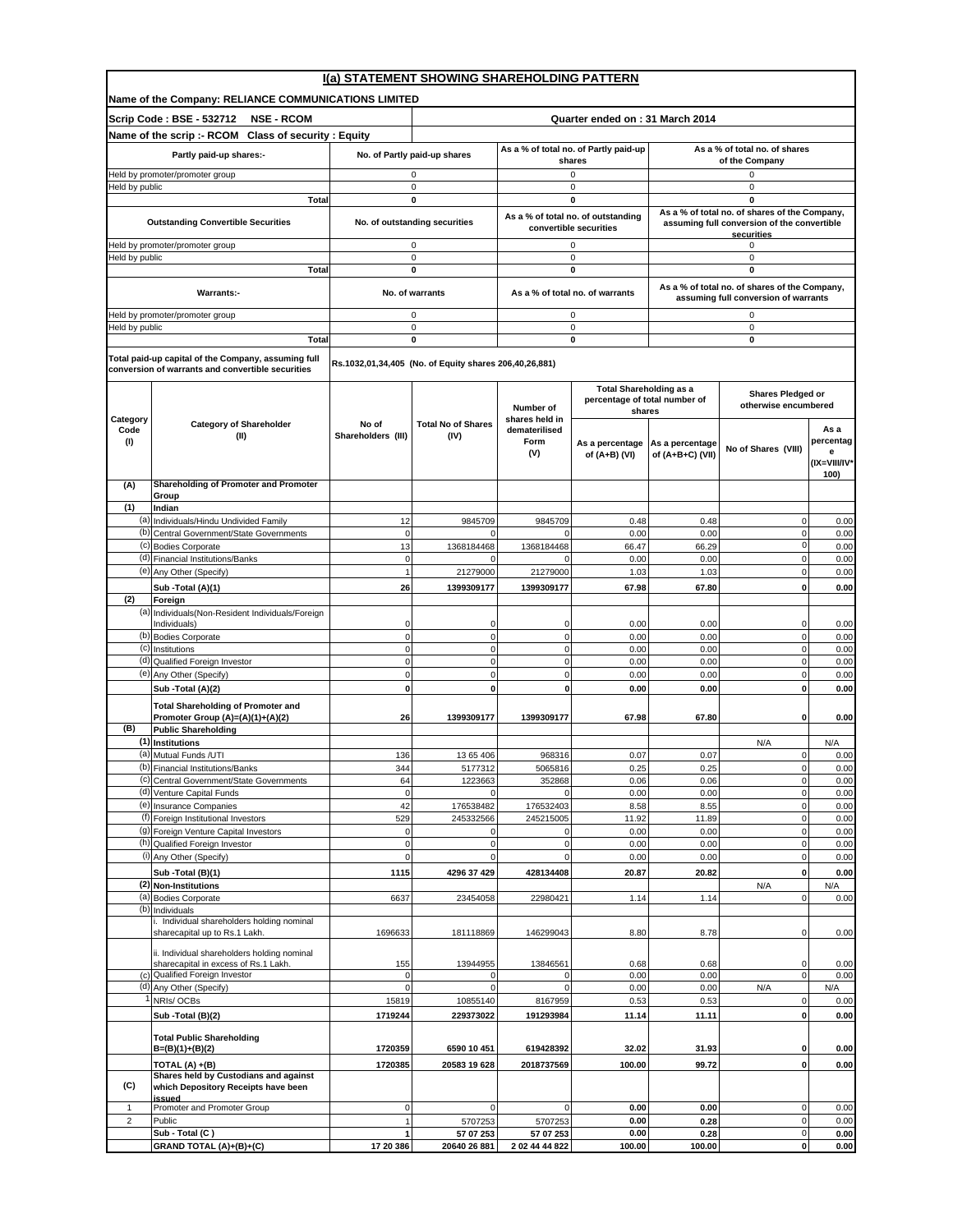|                                | I(a) STATEMENT SHOWING SHAREHOLDING PATTERN                                                              |                                              |                                                        |                                                                                    |                                                                           |                                                                                                                           |                                               |                                                |  |
|--------------------------------|----------------------------------------------------------------------------------------------------------|----------------------------------------------|--------------------------------------------------------|------------------------------------------------------------------------------------|---------------------------------------------------------------------------|---------------------------------------------------------------------------------------------------------------------------|-----------------------------------------------|------------------------------------------------|--|
|                                | Name of the Company: RELIANCE COMMUNICATIONS LIMITED                                                     |                                              |                                                        |                                                                                    |                                                                           |                                                                                                                           |                                               |                                                |  |
|                                | Scrip Code: BSE - 532712<br><b>NSE - RCOM</b>                                                            |                                              |                                                        |                                                                                    | Quarter ended on: 31 March 2014                                           |                                                                                                                           |                                               |                                                |  |
|                                | Name of the scrip :- RCOM Class of security : Equity                                                     |                                              |                                                        |                                                                                    |                                                                           |                                                                                                                           |                                               |                                                |  |
|                                | Partly paid-up shares:-                                                                                  |                                              | No. of Partly paid-up shares                           | As a % of total no. of Partly paid-up<br>shares                                    |                                                                           | As a % of total no. of shares<br>of the Company                                                                           |                                               |                                                |  |
|                                | Held by promoter/promoter group                                                                          | 0                                            |                                                        | 0                                                                                  |                                                                           | 0                                                                                                                         |                                               |                                                |  |
| Held by public                 |                                                                                                          | $\pmb{0}$                                    |                                                        |                                                                                    | $\pmb{0}$                                                                 |                                                                                                                           | 0                                             |                                                |  |
|                                | <b>Total</b><br><b>Outstanding Convertible Securities</b>                                                | $\mathbf 0$<br>No. of outstanding securities |                                                        | 0<br>As a % of total no. of outstanding<br>convertible securities                  |                                                                           | $\mathbf 0$<br>As a % of total no. of shares of the Company,<br>assuming full conversion of the convertible<br>securities |                                               |                                                |  |
|                                | Held by promoter/promoter group                                                                          |                                              | 0                                                      |                                                                                    | $\mathsf 0$                                                               |                                                                                                                           | 0                                             |                                                |  |
| Held by public                 | Total                                                                                                    |                                              | 0<br>0                                                 |                                                                                    | $\pmb{0}$<br>0                                                            |                                                                                                                           | 0<br>0                                        |                                                |  |
|                                |                                                                                                          |                                              |                                                        |                                                                                    |                                                                           |                                                                                                                           | As a % of total no. of shares of the Company, |                                                |  |
|                                | Warrants:-                                                                                               |                                              | No. of warrants                                        |                                                                                    | As a % of total no. of warrants                                           |                                                                                                                           | assuming full conversion of warrants          |                                                |  |
| Held by public                 | Held by promoter/promoter group                                                                          |                                              | 0<br>0                                                 |                                                                                    | 0<br>$\mathsf 0$                                                          |                                                                                                                           | 0<br>0                                        |                                                |  |
|                                | Total                                                                                                    |                                              | 0                                                      |                                                                                    | $\mathbf 0$                                                               |                                                                                                                           | 0                                             |                                                |  |
|                                | Total paid-up capital of the Company, assuming full<br>conversion of warrants and convertible securities |                                              | Rs.1032,01,34,405 (No. of Equity shares 206,40,26,881) |                                                                                    |                                                                           |                                                                                                                           |                                               |                                                |  |
|                                |                                                                                                          |                                              |                                                        | Number of                                                                          | <b>Total Shareholding as a</b><br>percentage of total number of<br>shares |                                                                                                                           | Shares Pledged or<br>otherwise encumbered     |                                                |  |
| Category<br>Code<br>(1)        | <b>Category of Shareholder</b><br>(II)                                                                   | No of<br>Shareholders (III)                  | <b>Total No of Shares</b><br>(IV)                      | shares held in<br>dematerilised<br>Form<br>As a percentage<br>(V)<br>of (A+B) (VI) |                                                                           | As a percentage<br>of (A+B+C) (VII)                                                                                       | No of Shares (VIII)                           | As a<br>percentag<br>e<br>(IX=VIII/IV*<br>100) |  |
| (A)                            | Shareholding of Promoter and Promoter                                                                    |                                              |                                                        |                                                                                    |                                                                           |                                                                                                                           |                                               |                                                |  |
| (1)                            | Group<br>Indian                                                                                          |                                              |                                                        |                                                                                    |                                                                           |                                                                                                                           |                                               |                                                |  |
|                                | (a) Individuals/Hindu Undivided Family                                                                   | 12                                           | 9845709                                                | 9845709                                                                            | 0.48                                                                      | 0.48                                                                                                                      | $\mathbf 0$                                   | 0.00                                           |  |
| (c)                            | (b) Central Government/State Governments<br><b>Bodies Corporate</b>                                      | $\pmb{0}$<br>13                              | 0                                                      | $\mathbf{0}$<br>1368184468                                                         | 0.00                                                                      | 0.00                                                                                                                      | $\mathbf 0$<br>0                              | 0.00                                           |  |
|                                | (d) Financial Institutions/Banks                                                                         | $\pmb{0}$                                    | 1368184468<br>$\Omega$                                 | $\Omega$                                                                           | 66.47<br>0.00                                                             | 66.29<br>0.00                                                                                                             | $\mathbf 0$                                   | 0.00<br>0.00                                   |  |
|                                | (e) Any Other (Specify)                                                                                  | $\mathbf{1}$                                 | 21279000                                               | 21279000                                                                           | 1.03                                                                      | 1.03                                                                                                                      | $\mathbf 0$                                   | 0.00                                           |  |
|                                | Sub -Total (A)(1)                                                                                        | 26                                           | 1399309177                                             | 1399309177                                                                         | 67.98                                                                     | 67.80                                                                                                                     | 0                                             | 0.00                                           |  |
| (2)                            | Foreign                                                                                                  |                                              |                                                        |                                                                                    |                                                                           |                                                                                                                           |                                               |                                                |  |
|                                | (a) Individuals (Non-Resident Individuals/Foreign<br>Individuals)                                        | $\Omega$                                     | 0                                                      | $\mathbf 0$                                                                        | 0.00                                                                      | 0.00                                                                                                                      | 0                                             | 0.00                                           |  |
|                                | (b) Bodies Corporate                                                                                     | $\pmb{0}$                                    | $\pmb{0}$                                              | $\mathbf{0}$                                                                       | 0.00                                                                      | 0.00                                                                                                                      | 0                                             | 0.00                                           |  |
| (c)                            | Institutions<br>(d) Qualified Foreign Investor                                                           | $\pmb{0}$<br>$\mathbf 0$                     | $\mathbf 0$<br>$\pmb{0}$                               | $\mathbf{0}$<br>$\mathbf{0}$                                                       | 0.00<br>0.00                                                              | 0.00<br>0.00                                                                                                              | $\mathbf 0$<br>$\mathbf 0$                    | 0.00<br>0.00                                   |  |
|                                | (e) Any Other (Specify)                                                                                  | $\pmb{0}$                                    | 0                                                      | $\mathbf{0}$                                                                       | 0.00                                                                      | 0.00                                                                                                                      | 0                                             | 0.00                                           |  |
|                                | Sub -Total (A)(2)                                                                                        | $\mathbf{0}$                                 | 0                                                      | 0                                                                                  | 0.00                                                                      | 0.00                                                                                                                      | 0                                             | 0.00                                           |  |
|                                | <b>Total Shareholding of Promoter and</b><br>Promoter Group (A)=(A)(1)+(A)(2)                            | 26                                           | 1399309177                                             | 1399309177                                                                         | 67.98                                                                     | 67.80                                                                                                                     | 0                                             | 0.00                                           |  |
| (B)                            | <b>Public Shareholding</b><br>(1) Institutions                                                           |                                              |                                                        |                                                                                    |                                                                           |                                                                                                                           |                                               |                                                |  |
|                                | (a) Mutual Funds /UTI                                                                                    | 136                                          | 13 65 406                                              | 968316                                                                             | 0.07                                                                      | 0.07                                                                                                                      | N/A<br>0                                      | N/A<br>0.00                                    |  |
|                                | (b) Financial Institutions/Banks                                                                         | 344                                          | 5177312                                                | 5065816                                                                            | 0.25                                                                      | 0.25                                                                                                                      | $\mathbf 0$                                   | 0.00                                           |  |
|                                | (c) Central Government/State Governments                                                                 | 64                                           | 1223663                                                | 352868                                                                             | 0.06                                                                      | 0.06                                                                                                                      | $\mathbf 0$                                   | 0.00                                           |  |
|                                | (d) Venture Capital Funds<br>(e) Insurance Companies                                                     | $\mathbf 0$<br>42                            | 176538482                                              | 176532403                                                                          | 0.00<br>8.58                                                              | 0.00<br>8.55                                                                                                              | 0<br>$\pmb{0}$                                | 0.00<br>0.00                                   |  |
|                                | (f) Foreign Institutional Investors                                                                      | 529                                          | 245332566                                              | 245215005                                                                          | 11.92                                                                     | 11.89                                                                                                                     | 0                                             | 0.00                                           |  |
|                                | (g) Foreign Venture Capital Investors                                                                    | 0                                            | 0                                                      | $\mathbf 0$                                                                        | 0.00                                                                      | 0.00                                                                                                                      | 0                                             | 0.00                                           |  |
|                                | (h) Qualified Foreign Investor<br>(i) Any Other (Specify)                                                | $\pmb{0}$<br>0                               | $\mathbf 0$<br>$\mathbf 0$                             | $\pmb{0}$<br>$\mathbf{0}$                                                          | 0.00<br>0.00                                                              | 0.00<br>0.00                                                                                                              | $\mathbf 0$<br>0                              | 0.00<br>0.00                                   |  |
|                                | Sub -Total (B)(1)                                                                                        | 1115                                         | 4296 37 429                                            | 428134408                                                                          | 20.87                                                                     | 20.82                                                                                                                     | $\bf{0}$                                      | 0.00                                           |  |
|                                | (2) Non-Institutions                                                                                     |                                              |                                                        |                                                                                    |                                                                           |                                                                                                                           | N/A                                           | N/A                                            |  |
| (b)                            | (a) Bodies Corporate                                                                                     | 6637                                         | 23454058                                               | 22980421                                                                           | 1.14                                                                      | 1.14                                                                                                                      | $\mathbf 0$                                   | 0.00                                           |  |
|                                | Individuals<br>i. Individual shareholders holding nominal<br>sharecapital up to Rs.1 Lakh.               | 1696633                                      | 181118869                                              | 146299043                                                                          | 8.80                                                                      | 8.78                                                                                                                      | 0                                             | 0.00                                           |  |
|                                | ii. Individual shareholders holding nominal<br>sharecapital in excess of Rs.1 Lakh.                      | 155                                          | 13944955                                               | 13846561                                                                           | 0.68                                                                      | 0.68                                                                                                                      | 0                                             | 0.00                                           |  |
| (c)                            | Qualified Foreign Investor<br>(d) Any Other (Specify)                                                    | 0<br>$\mathbf 0$                             | 0<br>$\Omega$                                          | $\mathbf 0$<br>$\mathbf{0}$                                                        | 0.00<br>0.00                                                              | 0.00<br>0.00                                                                                                              | $\overline{0}$<br>N/A                         | 0.00<br>N/A                                    |  |
|                                | NRIs/OCBs                                                                                                | 15819                                        | 10855140                                               | 8167959                                                                            | 0.53                                                                      | 0.53                                                                                                                      | $\mathsf 0$                                   | 0.00                                           |  |
|                                | Sub -Total (B)(2)                                                                                        | 1719244                                      | 229373022                                              | 191293984                                                                          | 11.14                                                                     | 11.11                                                                                                                     | $\mathbf 0$                                   | 0.00                                           |  |
|                                | <b>Total Public Shareholding</b><br>$B=(B)(1)+(B)(2)$                                                    | 1720359                                      | 6590 10 451                                            | 619428392                                                                          | 32.02                                                                     | 31.93                                                                                                                     | $\mathbf 0$                                   | 0.00                                           |  |
|                                | TOTAL (A) +(B)                                                                                           | 1720385                                      | 20583 19 628                                           | 2018737569                                                                         | 100.00                                                                    | 99.72                                                                                                                     | 0                                             | 0.00                                           |  |
|                                | Shares held by Custodians and against                                                                    |                                              |                                                        |                                                                                    |                                                                           |                                                                                                                           |                                               |                                                |  |
| (C)                            | which Depository Receipts have been<br>issued                                                            |                                              |                                                        |                                                                                    |                                                                           |                                                                                                                           |                                               |                                                |  |
| $\mathbf{1}$<br>$\overline{c}$ | Promoter and Promoter Group<br>Public                                                                    | 0                                            | $\mathbf 0$                                            | $\mathbf 0$                                                                        | 0.00<br>0.00                                                              | 0.00                                                                                                                      | $\mathbf 0$<br>$\mathbf 0$                    | 0.00<br>0.00                                   |  |
|                                | Sub - Total (C)                                                                                          | $\mathbf{1}$<br>1                            | 5707253<br>57 07 253                                   | 5707253<br>57 07 253                                                               | 0.00                                                                      | 0.28<br>0.28                                                                                                              | $\mathbf 0$                                   | 0.00                                           |  |
|                                | GRAND TOTAL (A)+(B)+(C)                                                                                  | 17 20 386                                    | 20640 26 881                                           | 2 02 44 44 822                                                                     | 100.00                                                                    | 100.00                                                                                                                    | $\mathbf 0$                                   | 0.00                                           |  |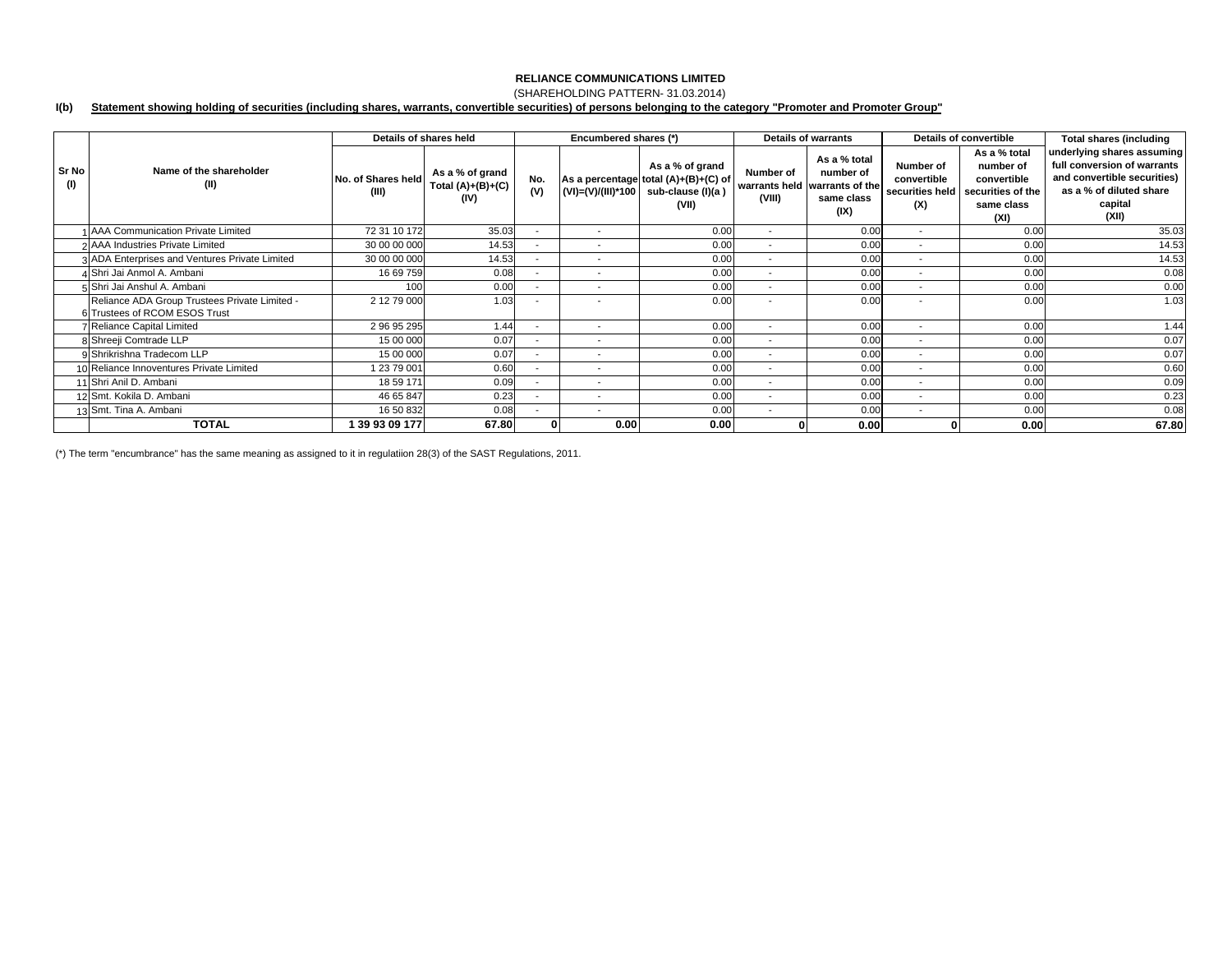## (SHAREHOLDING PATTERN- 31.03.2014)

#### **I(b) Statement showing holding of securities (including shares, warrants, convertible securities) of persons belonging to the category "Promoter and Promoter Group"**

|              |                                                                                | Details of shares held      |                                                |                          | Encumbered shares (*)    |                                                                                       | <b>Details of warrants</b> |                                                                                  | Details of convertible                             |                                                                                     | <b>Total shares (including</b>                                                                                                          |
|--------------|--------------------------------------------------------------------------------|-----------------------------|------------------------------------------------|--------------------------|--------------------------|---------------------------------------------------------------------------------------|----------------------------|----------------------------------------------------------------------------------|----------------------------------------------------|-------------------------------------------------------------------------------------|-----------------------------------------------------------------------------------------------------------------------------------------|
| Sr No<br>(1) | Name of the shareholder<br>(II)                                                | No. of Shares held<br>(III) | As a % of grand<br>Total $(A)+(B)+(C)$<br>(IV) | No.<br>(V)               | (VI)=(V)/(III)*100       | As a % of grand<br>As a percentage total (A)+(B)+(C) of<br>sub-clause (I)(a)<br>(VII) | Number of<br>(VIII)        | As a % total<br>number of<br>warrants held warrants of the<br>same class<br>(IX) | Number of<br>convertible<br>securities held<br>(X) | As a % total<br>number of<br>convertible<br>securities of the<br>same class<br>(XI) | underlying shares assuming<br>full conversion of warrants<br>and convertible securities)<br>as a % of diluted share<br>capital<br>(XII) |
|              | 1 AAA Communication Private Limited                                            | 72 31 10 172                | 35.03                                          |                          | $\overline{\phantom{a}}$ | 0.00                                                                                  | $\overline{\phantom{a}}$   | 0.00                                                                             | $\overline{\phantom{a}}$                           | 0.00                                                                                | 35.03                                                                                                                                   |
|              | 2 AAA Industries Private Limited                                               | 30 00 00 000                | 14.53                                          |                          | $\overline{\phantom{a}}$ | 0.00                                                                                  | $\overline{\phantom{a}}$   | 0.00                                                                             | ٠                                                  | 0.00                                                                                | 14.53                                                                                                                                   |
|              | 3 ADA Enterprises and Ventures Private Limited                                 | 30 00 00 000                | 14.53                                          | $\sim$                   | $\overline{\phantom{a}}$ | 0.00                                                                                  | $\sim$                     | 0.00                                                                             | $\overline{\phantom{a}}$                           | 0.00                                                                                | 14.53                                                                                                                                   |
|              | 4 Shri Jai Anmol A. Ambani                                                     | 16 69 759                   | 0.08                                           |                          | $\overline{\phantom{a}}$ | 0.00                                                                                  | $\sim$                     | 0.00                                                                             | $\overline{\phantom{a}}$                           | 0.00                                                                                | 0.08                                                                                                                                    |
|              | 5 Shri Jai Anshul A. Ambani                                                    | 100                         | 0.00                                           |                          |                          | 0.00                                                                                  |                            | 0.00                                                                             | ۰                                                  | 0.00                                                                                | 0.00                                                                                                                                    |
|              | Reliance ADA Group Trustees Private Limited -<br>6 Trustees of RCOM ESOS Trust | 2 12 79 000                 | 1.03                                           |                          | $\overline{\phantom{a}}$ | 0.00                                                                                  |                            | 0.00                                                                             | $\overline{\phantom{a}}$                           | 0.00                                                                                | 1.03                                                                                                                                    |
|              | <b>Reliance Capital Limited</b>                                                | 2 96 95 295                 | 1.44                                           |                          | $\overline{\phantom{a}}$ | 0.00                                                                                  | $\overline{\phantom{a}}$   | 0.00                                                                             | $\overline{\phantom{a}}$                           | 0.00                                                                                | 1.44                                                                                                                                    |
|              | 8 Shreeji Comtrade LLP                                                         | 15 00 000                   | 0.07                                           |                          | $\overline{\phantom{a}}$ | 0.00                                                                                  | $\overline{\phantom{a}}$   | 0.00                                                                             | $\overline{\phantom{a}}$                           | 0.00                                                                                | 0.07                                                                                                                                    |
|              | 9 Shrikrishna Tradecom LLP                                                     | 15 00 000                   | 0.07                                           |                          | $\overline{\phantom{a}}$ | 0.00                                                                                  | $\overline{\phantom{a}}$   | 0.00                                                                             | $\overline{\phantom{a}}$                           | 0.00                                                                                | 0.07                                                                                                                                    |
|              | 10 Reliance Innoventures Private Limited                                       | 1 23 79 001                 | 0.60                                           | ۰.                       | $\overline{\phantom{a}}$ | 0.00                                                                                  | $\sim$                     | 0.00                                                                             | $\overline{\phantom{a}}$                           | 0.00                                                                                | 0.60                                                                                                                                    |
|              | 11 Shri Anil D. Ambani                                                         | 18 59 171                   | 0.09                                           | $\overline{\phantom{a}}$ | $\overline{\phantom{a}}$ | 0.00                                                                                  | $\sim$                     | 0.00                                                                             | $\overline{\phantom{a}}$                           | 0.00                                                                                | 0.09                                                                                                                                    |
|              | 12 Smt. Kokila D. Ambani                                                       | 46 65 847                   | 0.23                                           |                          | $\overline{\phantom{a}}$ | 0.00                                                                                  | $\overline{\phantom{a}}$   | 0.00                                                                             | $\overline{\phantom{a}}$                           | 0.00                                                                                | 0.23                                                                                                                                    |
|              | 13 Smt. Tina A. Ambani                                                         | 16 50 832                   | 0.08                                           |                          | $\overline{\phantom{a}}$ | 0.00                                                                                  | $\overline{\phantom{a}}$   | 0.00                                                                             | $\overline{\phantom{a}}$                           | 0.00                                                                                | 0.08                                                                                                                                    |
|              | <b>TOTAL</b>                                                                   | 39 93 09 177                | 67.80                                          |                          | 0.00                     | 0.00                                                                                  |                            | 0.00                                                                             |                                                    | 0.00                                                                                | 67.80                                                                                                                                   |

(\*) The term "encumbrance" has the same meaning as assigned to it in regulatiion 28(3) of the SAST Regulations, 2011.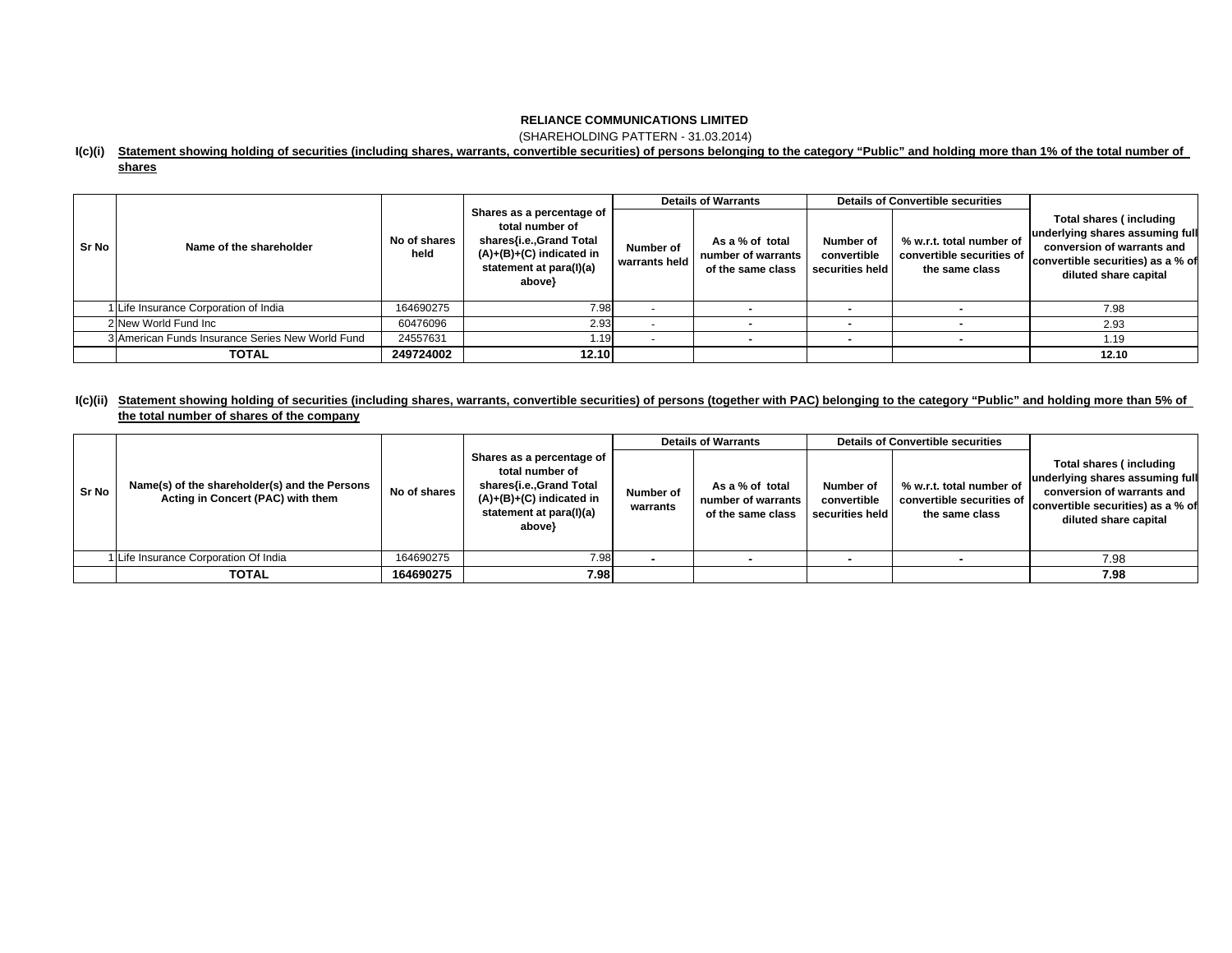(SHAREHOLDING PATTERN - 31.03.2014)

### **I(c)(i) Statement showing holding of securities (including shares, warrants, convertible securities) of persons belonging to the category "Public" and holding more than 1% of the total number of**

### **shares**

|       |                                                  |                      | Shares as a percentage of<br>total number of<br>shares{i.e.,Grand Total<br>$(A)+(B)+(C)$ indicated in<br>statement at para(I)(a)<br>above} | <b>Details of Warrants</b> |                                                            | <b>Details of Convertible securities</b>    |                                                                         |                                                                                                                                                        |  |
|-------|--------------------------------------------------|----------------------|--------------------------------------------------------------------------------------------------------------------------------------------|----------------------------|------------------------------------------------------------|---------------------------------------------|-------------------------------------------------------------------------|--------------------------------------------------------------------------------------------------------------------------------------------------------|--|
| Sr No | Name of the shareholder                          | No of shares<br>held |                                                                                                                                            | Number of<br>warrants held | As a % of total<br>number of warrants<br>of the same class | Number of<br>convertible<br>securities held | % w.r.t. total number of<br>convertible securities of<br>the same class | Total shares (including<br>underlying shares assuming full<br>conversion of warrants and<br>convertible securities) as a % of<br>diluted share capital |  |
|       | Life Insurance Corporation of India              | 164690275            | 7.98                                                                                                                                       |                            |                                                            |                                             |                                                                         | 7.98                                                                                                                                                   |  |
|       | 2 New World Fund Inc                             | 60476096             | 2.93                                                                                                                                       |                            |                                                            |                                             |                                                                         | 2.93                                                                                                                                                   |  |
|       | 3 American Funds Insurance Series New World Fund | 24557631             | .19 <sub>l</sub>                                                                                                                           |                            |                                                            |                                             |                                                                         | 1.19                                                                                                                                                   |  |
|       | <b>TOTAL</b>                                     | 249724002            | 12.10                                                                                                                                      |                            |                                                            |                                             |                                                                         | 12.10                                                                                                                                                  |  |

### **I(c)(ii) Statement showing holding of securities (including shares, warrants, convertible securities) of persons (together with PAC) belonging to the category "Public" and holding more than 5% of the total number of shares of the company**

|       |                                                                                    |              |                                                                                                                                          |                       | <b>Details of Warrants</b>                                 |                                             | <b>Details of Convertible securities</b>                                |                                                                                                                                                        |
|-------|------------------------------------------------------------------------------------|--------------|------------------------------------------------------------------------------------------------------------------------------------------|-----------------------|------------------------------------------------------------|---------------------------------------------|-------------------------------------------------------------------------|--------------------------------------------------------------------------------------------------------------------------------------------------------|
| Sr No | Name(s) of the shareholder(s) and the Persons<br>Acting in Concert (PAC) with them | No of shares | Shares as a percentage of<br>total number of<br>shares{i.e.,Grand Total<br>(A)+(B)+(C) indicated in<br>statement at para(I)(a)<br>above} | Number of<br>warrants | As a % of total<br>number of warrants<br>of the same class | Number of<br>convertible<br>securities held | % w.r.t. total number of<br>convertible securities of<br>the same class | Total shares (including<br>underlying shares assuming full<br>conversion of warrants and<br>convertible securities) as a % of<br>diluted share capital |
|       | Life Insurance Corporation Of India                                                | 164690275    | 7.98                                                                                                                                     |                       |                                                            |                                             |                                                                         | 7.98                                                                                                                                                   |
|       | <b>TOTAL</b>                                                                       | 164690275    | 7.98                                                                                                                                     |                       |                                                            |                                             |                                                                         | 7.98                                                                                                                                                   |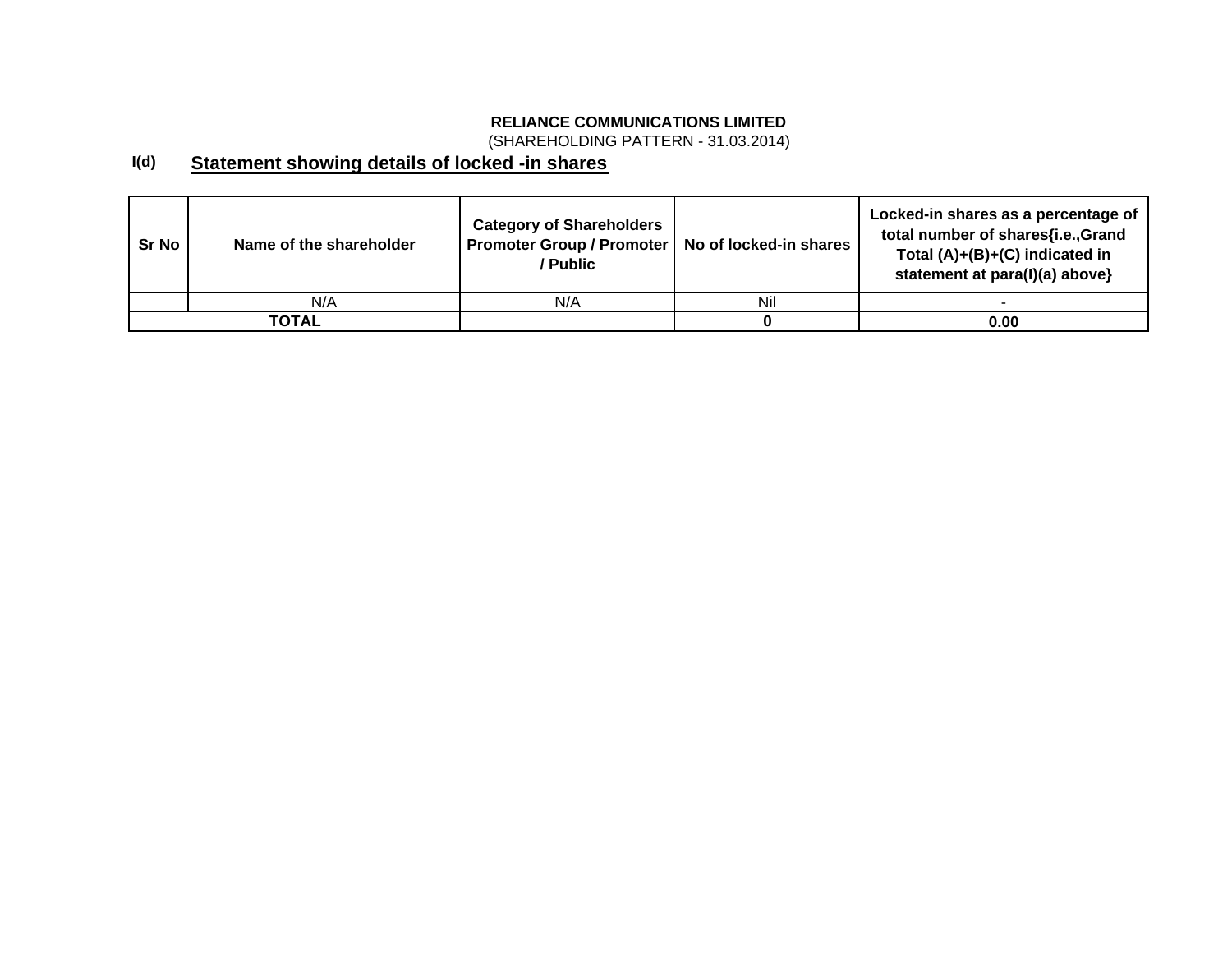(SHAREHOLDING PATTERN - 31.03.2014)

#### **I(d) Statement showing details of locked -in shares**

| <b>Sr No</b> | Name of the shareholder | <b>Category of Shareholders</b><br>Promoter Group / Promoter   No of locked-in shares<br>/ Public |     | Locked-in shares as a percentage of<br>total number of shares{i.e.,Grand<br>Total (A)+(B)+(C) indicated in<br>statement at para(I)(a) above} |
|--------------|-------------------------|---------------------------------------------------------------------------------------------------|-----|----------------------------------------------------------------------------------------------------------------------------------------------|
|              | N/A                     | N/A                                                                                               | Nil |                                                                                                                                              |
|              | TOTAL                   |                                                                                                   |     | 0.00                                                                                                                                         |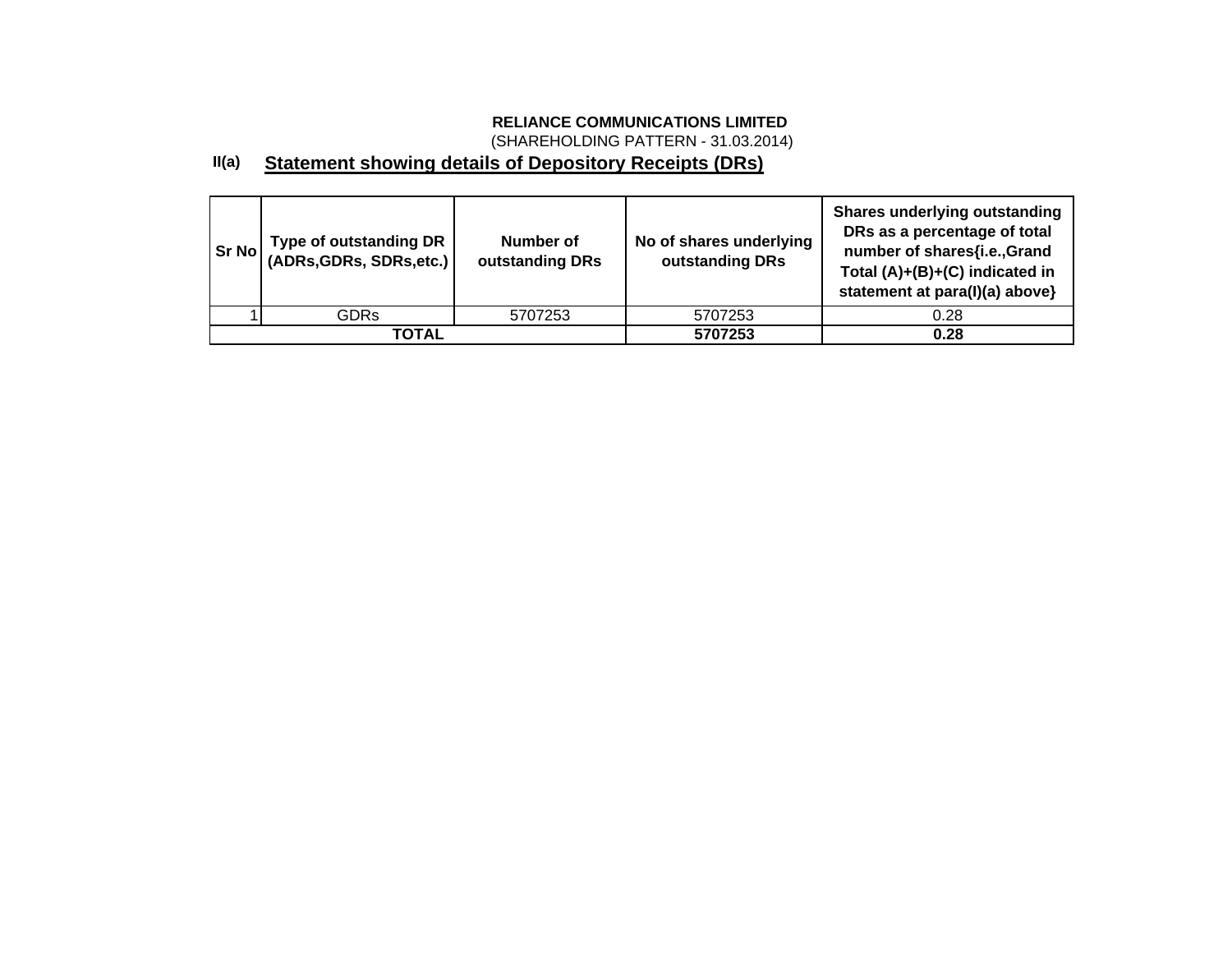(SHAREHOLDING PATTERN - 31.03.2014)

#### **II(a) Statement showing details of Depository Receipts (DRs)**

| Sr No | Type of outstanding DR  <br>  (ADRs,GDRs, SDRs,etc.) | Number of<br>outstanding DRs | No of shares underlying<br>outstanding DRs | <b>Shares underlying outstanding</b><br>DRs as a percentage of total<br>number of shares{i.e.,Grand<br>Total (A)+(B)+(C) indicated in<br>statement at para(I)(a) above} |
|-------|------------------------------------------------------|------------------------------|--------------------------------------------|-------------------------------------------------------------------------------------------------------------------------------------------------------------------------|
|       | <b>GDRs</b>                                          | 5707253                      | 5707253                                    | 0.28                                                                                                                                                                    |
|       | <b>TOTAL</b>                                         |                              | 5707253                                    | 0.28                                                                                                                                                                    |